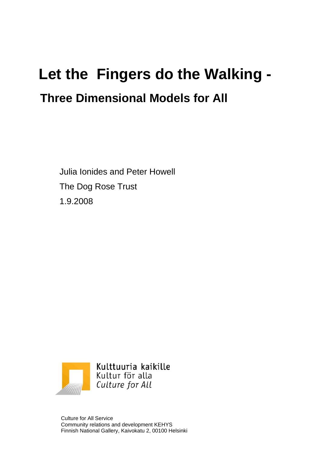# **Let the Fingers do the Walking - Three Dimensional Models for All**

Julia Ionides and Peter Howell The Dog Rose Trust 1.9.2008



Culture for All Service Community relations and development KEHYS Finnish National Gallery, Kaivokatu 2, 00100 Helsinki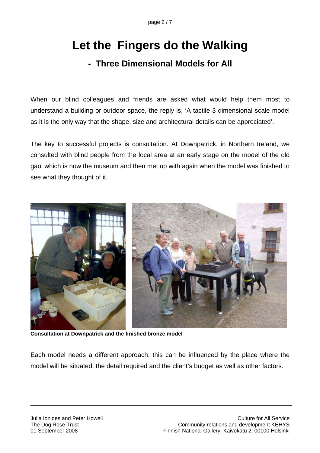## **Let the Fingers do the Walking**

#### **- Three Dimensional Models for All**

When our blind colleagues and friends are asked what would help them most to understand a building or outdoor space, the reply is, 'A tactile 3 dimensional scale model as it is the only way that the shape, size and architectural details can be appreciated'.

The key to successful projects is consultation. At Downpatrick, in Northern Ireland, we consulted with blind people from the local area at an early stage on the model of the old gaol which is now the museum and then met up with again when the model was finished to see what they thought of it.



**Consultation at Downpatrick and the finished bronze model** 

Each model needs a different approach; this can be influenced by the place where the model will be situated, the detail required and the client's budget as well as other factors.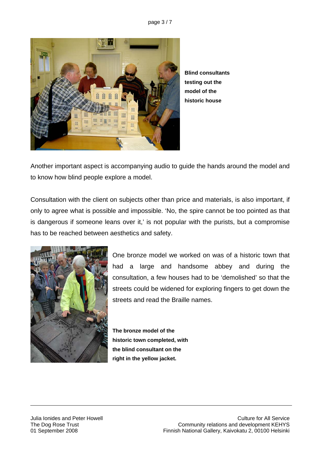page 3 / 7



**Blind consultants testing out the model of the historic house** 

Another important aspect is accompanying audio to guide the hands around the model and to know how blind people explore a model.

Consultation with the client on subjects other than price and materials, is also important, if only to agree what is possible and impossible. 'No, the spire cannot be too pointed as that is dangerous if someone leans over it,' is not popular with the purists, but a compromise has to be reached between aesthetics and safety.



One bronze model we worked on was of a historic town that had a large and handsome abbey and during the consultation, a few houses had to be 'demolished' so that the streets could be widened for exploring fingers to get down the streets and read the Braille names.

**The bronze model of the historic town completed, with the blind consultant on the right in the yellow jacket.**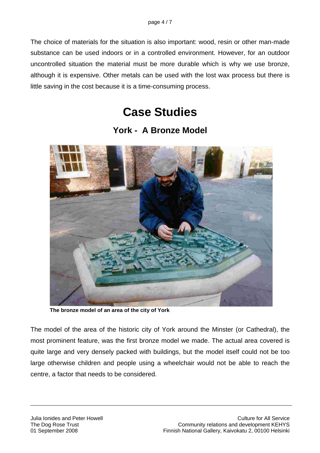The choice of materials for the situation is also important: wood, resin or other man-made substance can be used indoors or in a controlled environment. However, for an outdoor uncontrolled situation the material must be more durable which is why we use bronze, although it is expensive. Other metals can be used with the lost wax process but there is little saving in the cost because it is a time-consuming process.

### **Case Studies**

**York - A Bronze Model** 



**The bronze model of an area of the city of York** 

The model of the area of the historic city of York around the Minster (or Cathedral), the most prominent feature, was the first bronze model we made. The actual area covered is quite large and very densely packed with buildings, but the model itself could not be too large otherwise children and people using a wheelchair would not be able to reach the centre, a factor that needs to be considered.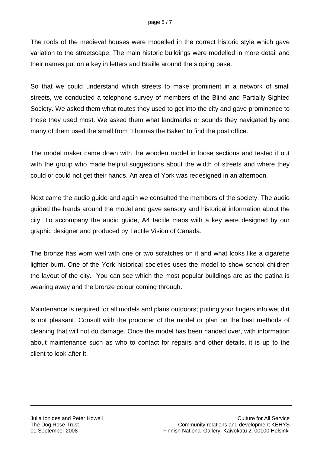The roofs of the medieval houses were modelled in the correct historic style which gave variation to the streetscape. The main historic buildings were modelled in more detail and their names put on a key in letters and Braille around the sloping base.

So that we could understand which streets to make prominent in a network of small streets, we conducted a telephone survey of members of the Blind and Partially Sighted Society. We asked them what routes they used to get into the city and gave prominence to those they used most. We asked them what landmarks or sounds they navigated by and many of them used the smell from 'Thomas the Baker' to find the post office.

The model maker came down with the wooden model in loose sections and tested it out with the group who made helpful suggestions about the width of streets and where they could or could not get their hands. An area of York was redesigned in an afternoon.

Next came the audio guide and again we consulted the members of the society. The audio guided the hands around the model and gave sensory and historical information about the city. To accompany the audio guide, A4 tactile maps with a key were designed by our graphic designer and produced by Tactile Vision of Canada.

The bronze has worn well with one or two scratches on it and what looks like a cigarette lighter burn. One of the York historical societies uses the model to show school children the layout of the city. You can see which the most popular buildings are as the patina is wearing away and the bronze colour coming through.

Maintenance is required for all models and plans outdoors; putting your fingers into wet dirt is not pleasant. Consult with the producer of the model or plan on the best methods of cleaning that will not do damage. Once the model has been handed over, with information about maintenance such as who to contact for repairs and other details, it is up to the client to look after it.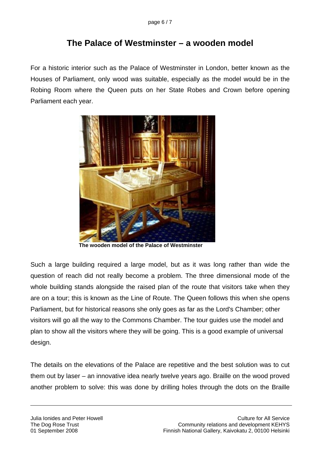#### **The Palace of Westminster – a wooden model**

For a historic interior such as the Palace of Westminster in London, better known as the Houses of Parliament, only wood was suitable, especially as the model would be in the Robing Room where the Queen puts on her State Robes and Crown before opening Parliament each year.



**The wooden model of the Palace of Westminster** 

Such a large building required a large model, but as it was long rather than wide the question of reach did not really become a problem. The three dimensional mode of the whole building stands alongside the raised plan of the route that visitors take when they are on a tour; this is known as the Line of Route. The Queen follows this when she opens Parliament, but for historical reasons she only goes as far as the Lord's Chamber; other visitors will go all the way to the Commons Chamber. The tour guides use the model and plan to show all the visitors where they will be going. This is a good example of universal design.

The details on the elevations of the Palace are repetitive and the best solution was to cut them out by laser – an innovative idea nearly twelve years ago. Braille on the wood proved another problem to solve: this was done by drilling holes through the dots on the Braille